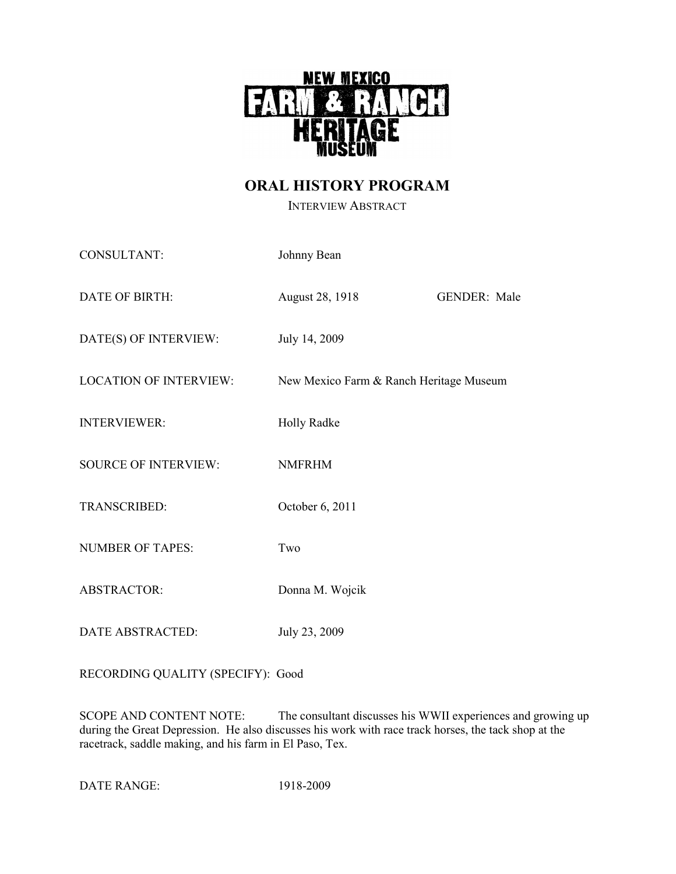

# **ORAL HISTORY PROGRAM**

INTERVIEW ABSTRACT

| CONSULTANT:                   | Johnny Bean                             |                     |
|-------------------------------|-----------------------------------------|---------------------|
| DATE OF BIRTH:                | August 28, 1918                         | <b>GENDER: Male</b> |
| DATE(S) OF INTERVIEW:         | July 14, 2009                           |                     |
| <b>LOCATION OF INTERVIEW:</b> | New Mexico Farm & Ranch Heritage Museum |                     |
| <b>INTERVIEWER:</b>           | <b>Holly Radke</b>                      |                     |
| <b>SOURCE OF INTERVIEW:</b>   | <b>NMFRHM</b>                           |                     |
| TRANSCRIBED:                  | October 6, 2011                         |                     |
| <b>NUMBER OF TAPES:</b>       | Two                                     |                     |
| ABSTRACTOR:                   | Donna M. Wojcik                         |                     |
| <b>DATE ABSTRACTED:</b>       | July 23, 2009                           |                     |

RECORDING QUALITY (SPECIFY): Good

SCOPE AND CONTENT NOTE: The consultant discusses his WWII experiences and growing up during the Great Depression. He also discusses his work with race track horses, the tack shop at the racetrack, saddle making, and his farm in El Paso, Tex.

DATE RANGE: 1918-2009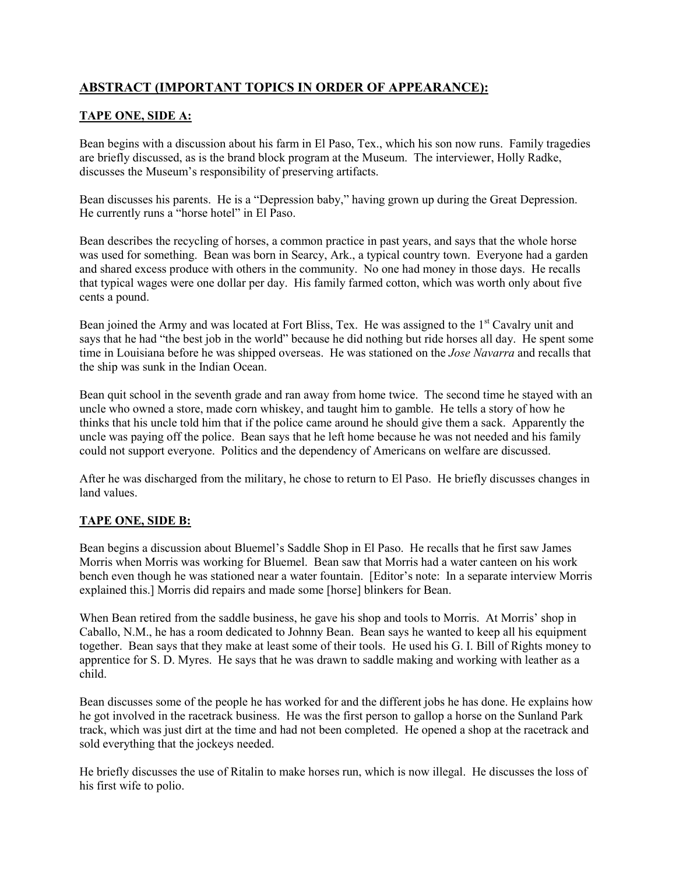# **ABSTRACT (IMPORTANT TOPICS IN ORDER OF APPEARANCE):**

# **TAPE ONE, SIDE A:**

Bean begins with a discussion about his farm in El Paso, Tex., which his son now runs. Family tragedies are briefly discussed, as is the brand block program at the Museum. The interviewer, Holly Radke, discusses the Museum's responsibility of preserving artifacts.

Bean discusses his parents. He is a "Depression baby," having grown up during the Great Depression. He currently runs a "horse hotel" in El Paso.

Bean describes the recycling of horses, a common practice in past years, and says that the whole horse was used for something. Bean was born in Searcy, Ark., a typical country town. Everyone had a garden and shared excess produce with others in the community. No one had money in those days. He recalls that typical wages were one dollar per day. His family farmed cotton, which was worth only about five cents a pound.

Bean joined the Army and was located at Fort Bliss, Tex. He was assigned to the 1<sup>st</sup> Cavalry unit and says that he had "the best job in the world" because he did nothing but ride horses all day. He spent some time in Louisiana before he was shipped overseas. He was stationed on the *Jose Navarra* and recalls that the ship was sunk in the Indian Ocean.

Bean quit school in the seventh grade and ran away from home twice. The second time he stayed with an uncle who owned a store, made corn whiskey, and taught him to gamble. He tells a story of how he thinks that his uncle told him that if the police came around he should give them a sack. Apparently the uncle was paying off the police. Bean says that he left home because he was not needed and his family could not support everyone. Politics and the dependency of Americans on welfare are discussed.

After he was discharged from the military, he chose to return to El Paso. He briefly discusses changes in land values.

#### **TAPE ONE, SIDE B:**

Bean begins a discussion about Bluemel's Saddle Shop in El Paso. He recalls that he first saw James Morris when Morris was working for Bluemel. Bean saw that Morris had a water canteen on his work bench even though he was stationed near a water fountain. [Editor's note: In a separate interview Morris explained this.] Morris did repairs and made some [horse] blinkers for Bean.

When Bean retired from the saddle business, he gave his shop and tools to Morris. At Morris' shop in Caballo, N.M., he has a room dedicated to Johnny Bean. Bean says he wanted to keep all his equipment together. Bean says that they make at least some of their tools. He used his G. I. Bill of Rights money to apprentice for S. D. Myres. He says that he was drawn to saddle making and working with leather as a child.

Bean discusses some of the people he has worked for and the different jobs he has done. He explains how he got involved in the racetrack business. He was the first person to gallop a horse on the Sunland Park track, which was just dirt at the time and had not been completed. He opened a shop at the racetrack and sold everything that the jockeys needed.

He briefly discusses the use of Ritalin to make horses run, which is now illegal. He discusses the loss of his first wife to polio.